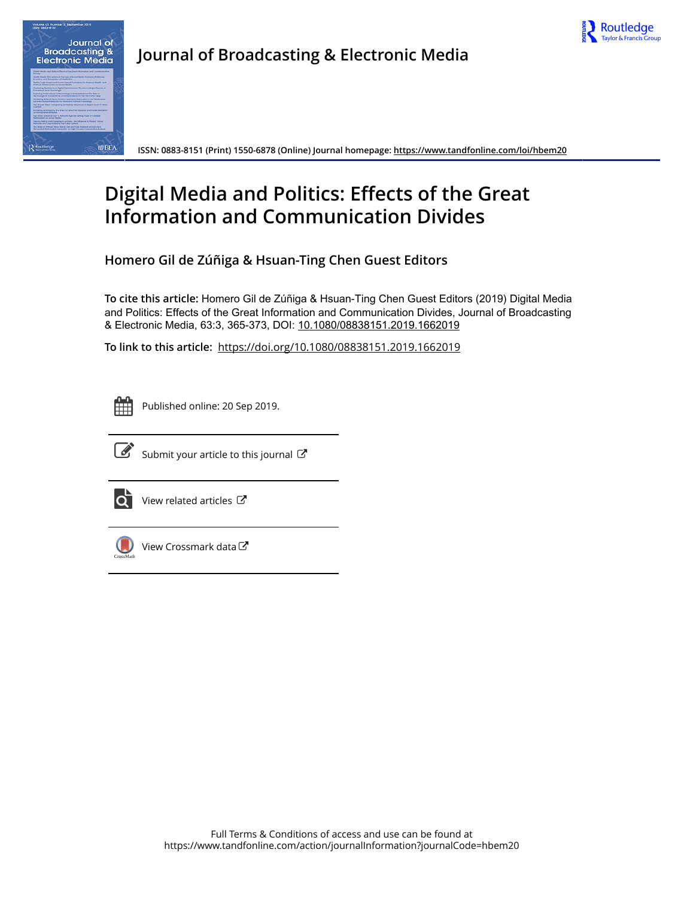



**ISSN: 0883-8151 (Print) 1550-6878 (Online) Journal homepage:<https://www.tandfonline.com/loi/hbem20>**

# **Digital Media and Politics: Effects of the Great Information and Communication Divides**

**Homero Gil de Zúñiga & Hsuan-Ting Chen Guest Editors**

**To cite this article:** Homero Gil de Zúñiga & Hsuan-Ting Chen Guest Editors (2019) Digital Media and Politics: Effects of the Great Information and Communication Divides, Journal of Broadcasting & Electronic Media, 63:3, 365-373, DOI: [10.1080/08838151.2019.1662019](https://www.tandfonline.com/action/showCitFormats?doi=10.1080/08838151.2019.1662019)

**To link to this article:** <https://doi.org/10.1080/08838151.2019.1662019>



Published online: 20 Sep 2019.



 $\overrightarrow{S}$  [Submit your article to this journal](https://www.tandfonline.com/action/authorSubmission?journalCode=hbem20&show=instructions)  $\overrightarrow{S}$ 



 $\overrightarrow{Q}$  [View related articles](https://www.tandfonline.com/doi/mlt/10.1080/08838151.2019.1662019)  $\overrightarrow{C}$ 



[View Crossmark data](http://crossmark.crossref.org/dialog/?doi=10.1080/08838151.2019.1662019&domain=pdf&date_stamp=2019-09-20) $\mathbb{C}$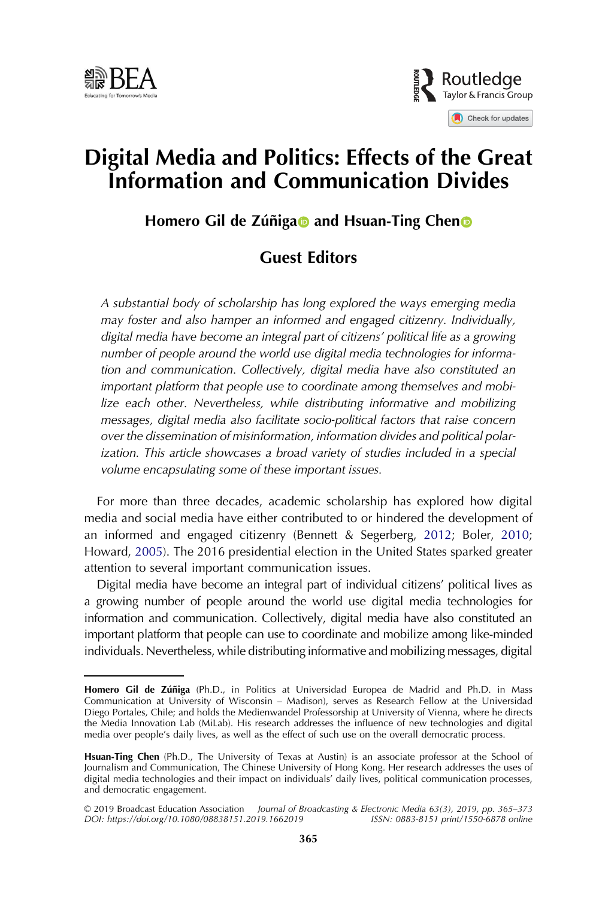



## Digital Media and Politics: Effects of the Great Information and Communication Divides

Homero Gil de Zúñig[a](http://orcid.org/0000-0002-4187-3604)**n** and Hsuan-Ting Chen

## Guest Editors

A substantial body of scholarship has long explored the ways emerging media may foster and also hamper an informed and engaged citizenry. Individually, digital media have become an integral part of citizens' political life as a growing number of people around the world use digital media technologies for information and communication. Collectively, digital media have also constituted an important platform that people use to coordinate among themselves and mobilize each other. Nevertheless, while distributing informative and mobilizing messages, digital media also facilitate socio-political factors that raise concern over the dissemination of misinformation, information divides and political polarization. This article showcases a broad variety of studies included in a special volume encapsulating some of these important issues.

<span id="page-1-1"></span><span id="page-1-0"></span>For more than three decades, academic scholarship has explored how digital media and social media have either contributed to or hindered the development of an informed and engaged citizenry (Bennett & Segerberg, [2012;](#page-7-0) Boler, [2010;](#page-7-1) Howard, [2005](#page-8-0)). The 2016 presidential election in the United States sparked greater attention to several important communication issues.

Digital media have become an integral part of individual citizens' political lives as a growing number of people around the world use digital media technologies for information and communication. Collectively, digital media have also constituted an important platform that people can use to coordinate and mobilize among like-minded individuals. Nevertheless, while distributing informative and mobilizing messages, digital

Homero Gil de Zúñiga (Ph.D., in Politics at Universidad Europea de Madrid and Ph.D. in Mass Communication at University of Wisconsin – Madison), serves as Research Fellow at the Universidad Diego Portales, Chile; and holds the Medienwandel Professorship at University of Vienna, where he directs the Media Innovation Lab (MiLab). His research addresses the influence of new technologies and digital media over people's daily lives, as well as the effect of such use on the overall democratic process.

Hsuan-Ting Chen (Ph.D., The University of Texas at Austin) is an associate professor at the School of Journalism and Communication, The Chinese University of Hong Kong. Her research addresses the uses of digital media technologies and their impact on individuals' daily lives, political communication processes, and democratic engagement.

<sup>© 2019</sup> Broadcast Education Association Journal of Broadcasting & Electronic Media 63(3), 2019, pp. 365–373 DOI: https://doi.org/10.1080/08838151.2019.1662019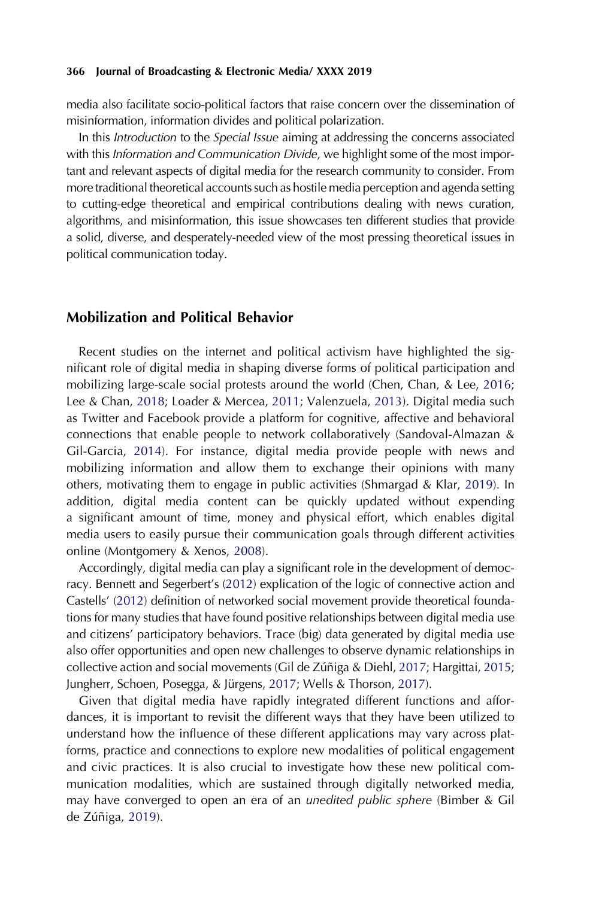media also facilitate socio-political factors that raise concern over the dissemination of misinformation, information divides and political polarization.

In this Introduction to the Special Issue aiming at addressing the concerns associated with this Information and Communication Divide, we highlight some of the most important and relevant aspects of digital media for the research community to consider. From more traditional theoretical accounts such as hostile media perception and agenda setting to cutting-edge theoretical and empirical contributions dealing with news curation, algorithms, and misinformation, this issue showcases ten different studies that provide a solid, diverse, and desperately-needed view of the most pressing theoretical issues in political communication today.

### Mobilization and Political Behavior

<span id="page-2-7"></span><span id="page-2-5"></span><span id="page-2-2"></span>Recent studies on the internet and political activism have highlighted the significant role of digital media in shaping diverse forms of political participation and mobilizing large-scale social protests around the world (Chen, Chan, & Lee, [2016;](#page-7-2) Lee & Chan, [2018;](#page-8-1) Loader & Mercea, [2011](#page-8-2); Valenzuela, [2013](#page-9-0)). Digital media such as Twitter and Facebook provide a platform for cognitive, affective and behavioral connections that enable people to network collaboratively (Sandoval-Almazan & Gil-Garcia, [2014\)](#page-9-1). For instance, digital media provide people with news and mobilizing information and allow them to exchange their opinions with many others, motivating them to engage in public activities (Shmargad & Klar, [2019](#page-9-2)). In addition, digital media content can be quickly updated without expending a significant amount of time, money and physical effort, which enables digital media users to easily pursue their communication goals through different activities online (Montgomery & Xenos, [2008\)](#page-8-3).

<span id="page-2-8"></span><span id="page-2-6"></span><span id="page-2-1"></span>Accordingly, digital media can play a significant role in the development of democracy. Bennett and Segerbert's ([2012](#page-7-0)) explication of the logic of connective action and Castells' [\(2012\)](#page-7-3) definition of networked social movement provide theoretical foundations for many studies that have found positive relationships between digital media use and citizens' participatory behaviors. Trace (big) data generated by digital media use also offer opportunities and open new challenges to observe dynamic relationships in collective action and social movements (Gil de Zúñiga & Diehl, [2017](#page-8-4); Hargittai, [2015;](#page-8-5) Jungherr, Schoen, Posegga, & Jürgens, [2017;](#page-8-6) Wells & Thorson, [2017\)](#page-9-3).

<span id="page-2-4"></span><span id="page-2-3"></span><span id="page-2-0"></span>Given that digital media have rapidly integrated different functions and affordances, it is important to revisit the different ways that they have been utilized to understand how the influence of these different applications may vary across platforms, practice and connections to explore new modalities of political engagement and civic practices. It is also crucial to investigate how these new political communication modalities, which are sustained through digitally networked media, may have converged to open an era of an unedited public sphere (Bimber & Gil de Zúñiga, [2019\)](#page-7-4).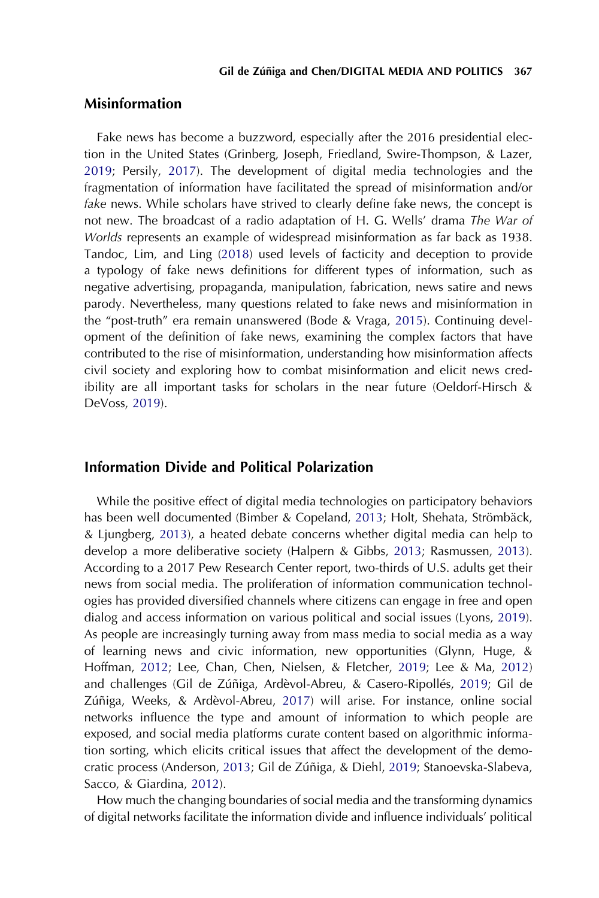## Misinformation

<span id="page-3-13"></span><span id="page-3-11"></span><span id="page-3-6"></span>Fake news has become a buzzword, especially after the 2016 presidential election in the United States (Grinberg, Joseph, Friedland, Swire-Thompson, & Lazer, [2019;](#page-8-7) Persily, [2017\)](#page-8-8). The development of digital media technologies and the fragmentation of information have facilitated the spread of misinformation and/or fake news. While scholars have strived to clearly define fake news, the concept is not new. The broadcast of a radio adaptation of H. G. Wells' drama The War of Worlds represents an example of widespread misinformation as far back as 1938. Tandoc, Lim, and Ling ([2018\)](#page-9-4) used levels of facticity and deception to provide a typology of fake news definitions for different types of information, such as negative advertising, propaganda, manipulation, fabrication, news satire and news parody. Nevertheless, many questions related to fake news and misinformation in the "post-truth" era remain unanswered (Bode & Vraga, [2015](#page-7-5)). Continuing development of the definition of fake news, examining the complex factors that have contributed to the rise of misinformation, understanding how misinformation affects civil society and exploring how to combat misinformation and elicit news credibility are all important tasks for scholars in the near future (Oeldorf-Hirsch & DeVoss, [2019\)](#page-8-9).

## <span id="page-3-10"></span><span id="page-3-2"></span>Information Divide and Political Polarization

<span id="page-3-9"></span><span id="page-3-8"></span><span id="page-3-7"></span><span id="page-3-1"></span>While the positive effect of digital media technologies on participatory behaviors has been well documented (Bimber & Copeland, [2013](#page-7-6); Holt, Shehata, Strömbäck, & Ljungberg, [2013](#page-8-10)), a heated debate concerns whether digital media can help to develop a more deliberative society (Halpern & Gibbs, [2013](#page-8-11); Rasmussen, [2013](#page-8-12)). According to a 2017 Pew Research Center report, two-thirds of U.S. adults get their news from social media. The proliferation of information communication technologies has provided diversified channels where citizens can engage in free and open dialog and access information on various political and social issues (Lyons, [2019](#page-8-13)). As people are increasingly turning away from mass media to social media as a way of learning news and civic information, new opportunities (Glynn, Huge, & Hoffman, [2012](#page-8-14); Lee, Chan, Chen, Nielsen, & Fletcher, [2019](#page-8-15); Lee & Ma, [2012\)](#page-8-16) and challenges (Gil de Zúñiga, Ardèvol-Abreu, & Casero-Ripollés, [2019;](#page-7-7) Gil de Zúñiga, Weeks, & Ardèvol-Abreu, [2017\)](#page-8-17) will arise. For instance, online social networks influence the type and amount of information to which people are exposed, and social media platforms curate content based on algorithmic information sorting, which elicits critical issues that affect the development of the democratic process (Anderson, [2013](#page-7-8); Gil de Zúñiga, & Diehl, [2019;](#page-8-18) Stanoevska-Slabeva, Sacco, & Giardina, [2012](#page-9-5)).

<span id="page-3-12"></span><span id="page-3-5"></span><span id="page-3-4"></span><span id="page-3-3"></span><span id="page-3-0"></span>How much the changing boundaries of social media and the transforming dynamics of digital networks facilitate the information divide and influence individuals' political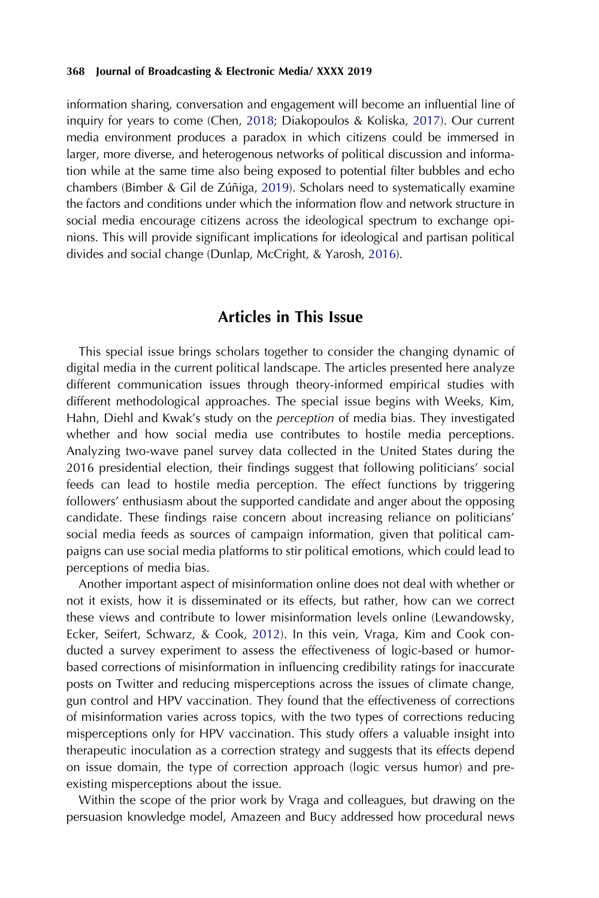<span id="page-4-0"></span>information sharing, conversation and engagement will become an influential line of inquiry for years to come (Chen, [2018](#page-7-9); Diakopoulos & Koliska, [2017](#page-7-10)). Our current media environment produces a paradox in which citizens could be immersed in larger, more diverse, and heterogenous networks of political discussion and information while at the same time also being exposed to potential filter bubbles and echo chambers (Bimber & Gil de Zúñiga, [2019](#page-7-4)). Scholars need to systematically examine the factors and conditions under which the information flow and network structure in social media encourage citizens across the ideological spectrum to exchange opinions. This will provide significant implications for ideological and partisan political divides and social change (Dunlap, McCright, & Yarosh, [2016](#page-7-11)).

## Articles in This Issue

<span id="page-4-1"></span>This special issue brings scholars together to consider the changing dynamic of digital media in the current political landscape. The articles presented here analyze different communication issues through theory-informed empirical studies with different methodological approaches. The special issue begins with Weeks, Kim, Hahn, Diehl and Kwak's study on the perception of media bias. They investigated whether and how social media use contributes to hostile media perceptions. Analyzing two-wave panel survey data collected in the United States during the 2016 presidential election, their findings suggest that following politicians' social feeds can lead to hostile media perception. The effect functions by triggering followers' enthusiasm about the supported candidate and anger about the opposing candidate. These findings raise concern about increasing reliance on politicians' social media feeds as sources of campaign information, given that political campaigns can use social media platforms to stir political emotions, which could lead to perceptions of media bias.

<span id="page-4-2"></span>Another important aspect of misinformation online does not deal with whether or not it exists, how it is disseminated or its effects, but rather, how can we correct these views and contribute to lower misinformation levels online (Lewandowsky, Ecker, Seifert, Schwarz, & Cook, [2012](#page-8-19)). In this vein, Vraga, Kim and Cook conducted a survey experiment to assess the effectiveness of logic-based or humorbased corrections of misinformation in influencing credibility ratings for inaccurate posts on Twitter and reducing misperceptions across the issues of climate change, gun control and HPV vaccination. They found that the effectiveness of corrections of misinformation varies across topics, with the two types of corrections reducing misperceptions only for HPV vaccination. This study offers a valuable insight into therapeutic inoculation as a correction strategy and suggests that its effects depend on issue domain, the type of correction approach (logic versus humor) and preexisting misperceptions about the issue.

Within the scope of the prior work by Vraga and colleagues, but drawing on the persuasion knowledge model, Amazeen and Bucy addressed how procedural news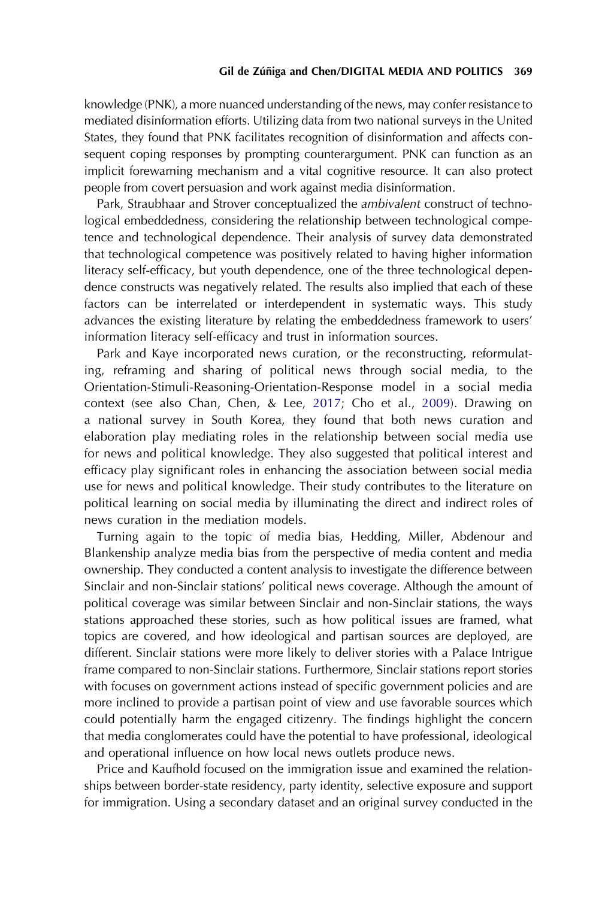knowledge (PNK), a more nuanced understanding of the news, may confer resistance to mediated disinformation efforts. Utilizing data from two national surveys in the United States, they found that PNK facilitates recognition of disinformation and affects consequent coping responses by prompting counterargument. PNK can function as an implicit forewarning mechanism and a vital cognitive resource. It can also protect people from covert persuasion and work against media disinformation.

Park, Straubhaar and Strover conceptualized the ambivalent construct of technological embeddedness, considering the relationship between technological competence and technological dependence. Their analysis of survey data demonstrated that technological competence was positively related to having higher information literacy self-efficacy, but youth dependence, one of the three technological dependence constructs was negatively related. The results also implied that each of these factors can be interrelated or interdependent in systematic ways. This study advances the existing literature by relating the embeddedness framework to users' information literacy self-efficacy and trust in information sources.

<span id="page-5-0"></span>Park and Kaye incorporated news curation, or the reconstructing, reformulating, reframing and sharing of political news through social media, to the Orientation-Stimuli-Reasoning-Orientation-Response model in a social media context (see also Chan, Chen, & Lee, [2017](#page-7-12); Cho et al., [2009\)](#page-7-13). Drawing on a national survey in South Korea, they found that both news curation and elaboration play mediating roles in the relationship between social media use for news and political knowledge. They also suggested that political interest and efficacy play significant roles in enhancing the association between social media use for news and political knowledge. Their study contributes to the literature on political learning on social media by illuminating the direct and indirect roles of news curation in the mediation models.

Turning again to the topic of media bias, Hedding, Miller, Abdenour and Blankenship analyze media bias from the perspective of media content and media ownership. They conducted a content analysis to investigate the difference between Sinclair and non-Sinclair stations' political news coverage. Although the amount of political coverage was similar between Sinclair and non-Sinclair stations, the ways stations approached these stories, such as how political issues are framed, what topics are covered, and how ideological and partisan sources are deployed, are different. Sinclair stations were more likely to deliver stories with a Palace Intrigue frame compared to non-Sinclair stations. Furthermore, Sinclair stations report stories with focuses on government actions instead of specific government policies and are more inclined to provide a partisan point of view and use favorable sources which could potentially harm the engaged citizenry. The findings highlight the concern that media conglomerates could have the potential to have professional, ideological and operational influence on how local news outlets produce news.

Price and Kaufhold focused on the immigration issue and examined the relationships between border-state residency, party identity, selective exposure and support for immigration. Using a secondary dataset and an original survey conducted in the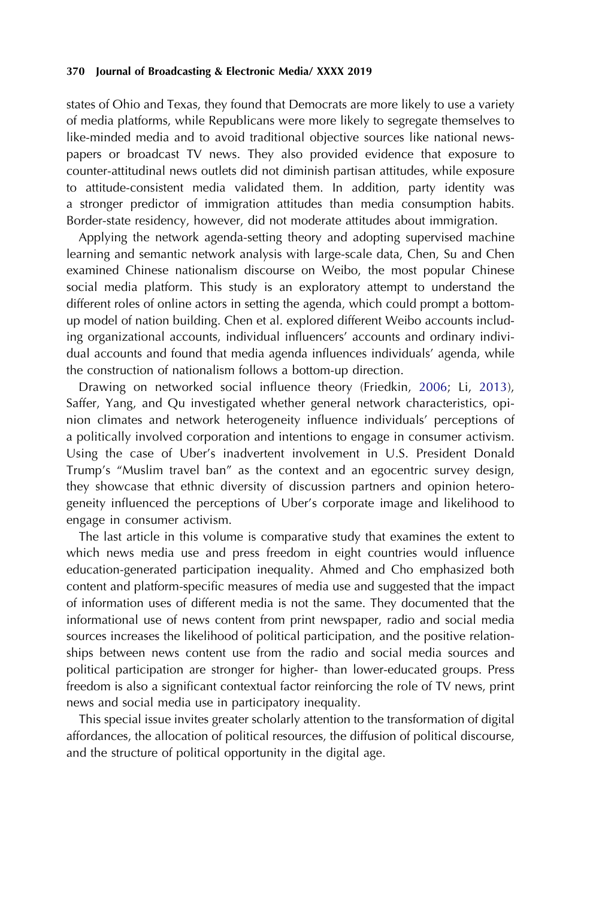states of Ohio and Texas, they found that Democrats are more likely to use a variety of media platforms, while Republicans were more likely to segregate themselves to like-minded media and to avoid traditional objective sources like national newspapers or broadcast TV news. They also provided evidence that exposure to counter-attitudinal news outlets did not diminish partisan attitudes, while exposure to attitude-consistent media validated them. In addition, party identity was a stronger predictor of immigration attitudes than media consumption habits. Border-state residency, however, did not moderate attitudes about immigration.

Applying the network agenda-setting theory and adopting supervised machine learning and semantic network analysis with large-scale data, Chen, Su and Chen examined Chinese nationalism discourse on Weibo, the most popular Chinese social media platform. This study is an exploratory attempt to understand the different roles of online actors in setting the agenda, which could prompt a bottomup model of nation building. Chen et al. explored different Weibo accounts including organizational accounts, individual influencers' accounts and ordinary individual accounts and found that media agenda influences individuals' agenda, while the construction of nationalism follows a bottom-up direction.

<span id="page-6-0"></span>Drawing on networked social influence theory (Friedkin, [2006;](#page-7-14) Li, [2013](#page-8-20)), Saffer, Yang, and Qu investigated whether general network characteristics, opinion climates and network heterogeneity influence individuals' perceptions of a politically involved corporation and intentions to engage in consumer activism. Using the case of Uber's inadvertent involvement in U.S. President Donald Trump's "Muslim travel ban" as the context and an egocentric survey design, they showcase that ethnic diversity of discussion partners and opinion heterogeneity influenced the perceptions of Uber's corporate image and likelihood to engage in consumer activism.

The last article in this volume is comparative study that examines the extent to which news media use and press freedom in eight countries would influence education-generated participation inequality. Ahmed and Cho emphasized both content and platform-specific measures of media use and suggested that the impact of information uses of different media is not the same. They documented that the informational use of news content from print newspaper, radio and social media sources increases the likelihood of political participation, and the positive relationships between news content use from the radio and social media sources and political participation are stronger for higher- than lower-educated groups. Press freedom is also a significant contextual factor reinforcing the role of TV news, print news and social media use in participatory inequality.

This special issue invites greater scholarly attention to the transformation of digital affordances, the allocation of political resources, the diffusion of political discourse, and the structure of political opportunity in the digital age.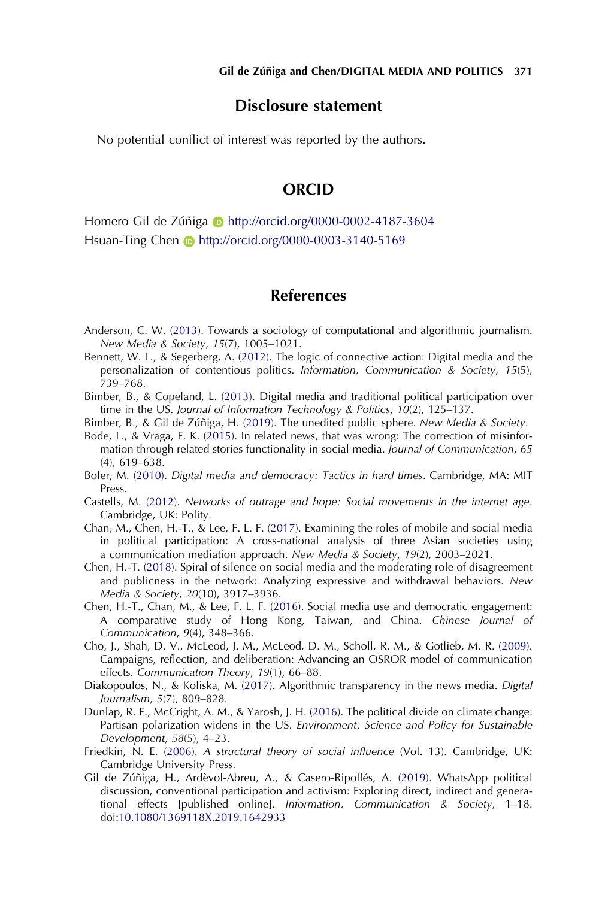## Disclosure statement

No potential conflict of interest was reported by the authors.

## **ORCID**

Homero Gil de Zúñiga **b** http://orcid.org/0000-0002-4187-3604 Hsuan-Ting Chen **b** http://orcid.org/0000-0003-3140-5169

## References

- <span id="page-7-8"></span>Anderson, C. W. ([2013\)](#page-3-0). Towards a sociology of computational and algorithmic journalism. New Media & Society, 15(7), 1005–1021.
- <span id="page-7-0"></span>Bennett, W. L., & Segerberg, A. [\(2012\)](#page-1-0). The logic of connective action: Digital media and the personalization of contentious politics. Information, Communication & Society, 15(5), 739–768.
- <span id="page-7-6"></span>Bimber, B., & Copeland, L. ([2013\)](#page-3-1). Digital media and traditional political participation over time in the US. Journal of Information Technology & Politics, 10(2), 125–137.
- <span id="page-7-4"></span>Bimber, B., & Gil de Zúñiga, H. ([2019](#page-2-0)). The unedited public sphere. New Media & Society.
- <span id="page-7-5"></span>Bode, L., & Vraga, E. K. ([2015\)](#page-3-2). In related news, that was wrong: The correction of misinformation through related stories functionality in social media. Journal of Communication, 65 (4), 619–638.
- <span id="page-7-1"></span>Boler, M. [\(2010](#page-1-0)). Digital media and democracy: Tactics in hard times. Cambridge, MA: MIT Press.
- <span id="page-7-3"></span>Castells, M. ([2012](#page-2-1)). Networks of outrage and hope: Social movements in the internet age. Cambridge, UK: Polity.
- <span id="page-7-12"></span>Chan, M., Chen, H.-T., & Lee, F. L. F. [\(2017\)](#page-5-0). Examining the roles of mobile and social media in political participation: A cross-national analysis of three Asian societies using a communication mediation approach. New Media & Society, 19(2), 2003–2021.
- <span id="page-7-9"></span>Chen, H.-T. ([2018\)](#page-4-0). Spiral of silence on social media and the moderating role of disagreement and publicness in the network: Analyzing expressive and withdrawal behaviors. New Media & Society, 20(10), 3917–3936.
- <span id="page-7-2"></span>Chen, H.-T., Chan, M., & Lee, F. L. F. [\(2016\)](#page-2-2). Social media use and democratic engagement: A comparative study of Hong Kong, Taiwan, and China. Chinese Journal of Communication, 9(4), 348–366.
- <span id="page-7-13"></span>Cho, J., Shah, D. V., McLeod, J. M., McLeod, D. M., Scholl, R. M., & Gotlieb, M. R. ([2009\)](#page-5-0). Campaigns, reflection, and deliberation: Advancing an OSROR model of communication effects. Communication Theory, 19(1), 66–88.
- <span id="page-7-10"></span>Diakopoulos, N., & Koliska, M. [\(2017](#page-4-0)). Algorithmic transparency in the news media. Digital Journalism, 5(7), 809–828.
- <span id="page-7-11"></span>Dunlap, R. E., McCright, A. M., & Yarosh, J. H. ([2016](#page-4-1)). The political divide on climate change: Partisan polarization widens in the US. Environment: Science and Policy for Sustainable Development, 58(5), 4–23.
- <span id="page-7-14"></span>Friedkin, N. E. [\(2006](#page-6-0)). A structural theory of social influence (Vol. 13). Cambridge, UK: Cambridge University Press.
- <span id="page-7-7"></span>Gil de Zúñiga, H., Ardèvol-Abreu, A., & Casero-Ripollés, A. [\(2019](#page-3-3)). WhatsApp political discussion, conventional participation and activism: Exploring direct, indirect and generational effects [published online]. Information, Communication & Society, 1–18. doi:[10.1080/1369118X.2019.1642933](http://dx.doi.org/10.1080/1369118X.2019.1642933)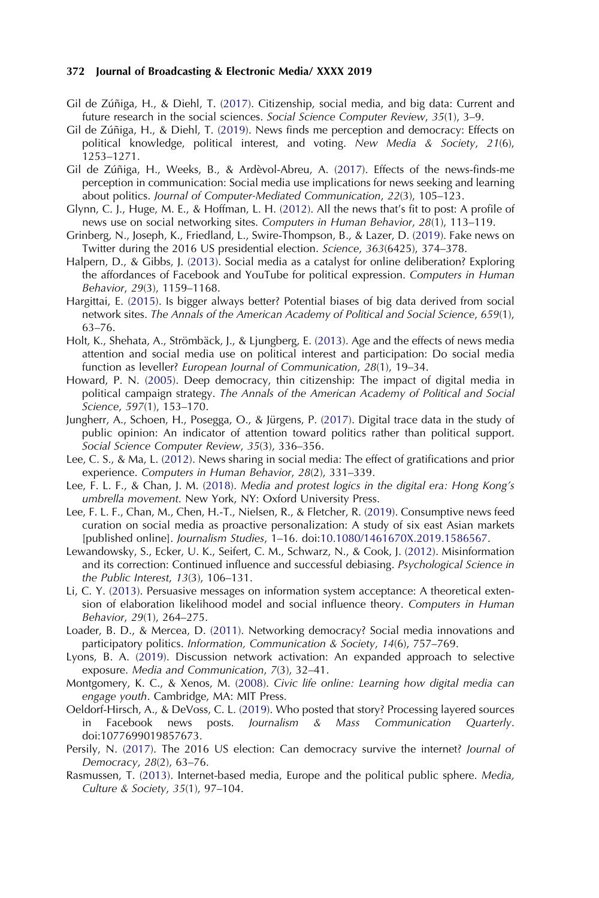- <span id="page-8-4"></span>Gil de Zúñiga, H., & Diehl, T. [\(2017\)](#page-2-3). Citizenship, social media, and big data: Current and future research in the social sciences. Social Science Computer Review, 35(1), 3–9.
- <span id="page-8-18"></span>Gil de Zúñiga, H., & Diehl, T. [\(2019\)](#page-3-0). News finds me perception and democracy: Effects on political knowledge, political interest, and voting. New Media & Society, 21(6), 1253–1271.
- <span id="page-8-17"></span>Gil de Zúñiga, H., Weeks, B., & Ardèvol-Abreu, A. [\(2017](#page-3-4)). Effects of the news-finds-me perception in communication: Social media use implications for news seeking and learning about politics. Journal of Computer-Mediated Communication, 22(3), 105–123.
- <span id="page-8-14"></span>Glynn, C. J., Huge, M. E., & Hoffman, L. H. ([2012\)](#page-3-5). All the news that's fit to post: A profile of news use on social networking sites. Computers in Human Behavior, 28(1), 113–119.
- <span id="page-8-7"></span>Grinberg, N., Joseph, K., Friedland, L., Swire-Thompson, B., & Lazer, D. ([2019\)](#page-3-6). Fake news on Twitter during the 2016 US presidential election. Science, 363(6425), 374–378.
- <span id="page-8-11"></span>Halpern, D., & Gibbs, J. [\(2013](#page-3-7)). Social media as a catalyst for online deliberation? Exploring the affordances of Facebook and YouTube for political expression. Computers in Human Behavior, 29(3), 1159–1168.
- <span id="page-8-5"></span>Hargittai, E. [\(2015](#page-2-3)). Is bigger always better? Potential biases of big data derived from social network sites. The Annals of the American Academy of Political and Social Science, 659(1), 63–76.
- <span id="page-8-10"></span>Holt, K., Shehata, A., Strömbäck, J., & Ljungberg, E. [\(2013\)](#page-3-8). Age and the effects of news media attention and social media use on political interest and participation: Do social media function as leveller? European Journal of Communication, 28(1), 19–34.
- <span id="page-8-0"></span>Howard, P. N. ([2005](#page-1-1)). Deep democracy, thin citizenship: The impact of digital media in political campaign strategy. The Annals of the American Academy of Political and Social Science, 597(1), 153–170.
- <span id="page-8-6"></span>Jungherr, A., Schoen, H., Posegga, O., & Jürgens, P. ([2017](#page-2-4)). Digital trace data in the study of public opinion: An indicator of attention toward politics rather than political support. Social Science Computer Review, 35(3), 336–356.
- <span id="page-8-16"></span>Lee, C. S., & Ma, L. ([2012](#page-3-5)). News sharing in social media: The effect of gratifications and prior experience. Computers in Human Behavior, 28(2), 331–339.
- <span id="page-8-1"></span>Lee, F. L. F., & Chan, J. M. [\(2018](#page-2-5)). Media and protest logics in the digital era: Hong Kong's umbrella movement. New York, NY: Oxford University Press.
- <span id="page-8-15"></span>Lee, F. L. F., Chan, M., Chen, H.-T., Nielsen, R., & Fletcher, R. ([2019\)](#page-3-5). Consumptive news feed curation on social media as proactive personalization: A study of six east Asian markets [published online]. Journalism Studies, 1–16. doi[:10.1080/1461670X.2019.1586567.](http://dx.doi.org/10.1080/1461670X.2019.1586567)
- <span id="page-8-19"></span>Lewandowsky, S., Ecker, U. K., Seifert, C. M., Schwarz, N., & Cook, J. [\(2012\)](#page-4-2). Misinformation and its correction: Continued influence and successful debiasing. Psychological Science in the Public Interest, 13(3), 106–131.
- <span id="page-8-20"></span>Li, C. Y. ([2013\)](#page-6-0). Persuasive messages on information system acceptance: A theoretical extension of elaboration likelihood model and social influence theory. Computers in Human Behavior, 29(1), 264–275.
- <span id="page-8-2"></span>Loader, B. D., & Mercea, D. ([2011\)](#page-2-5). Networking democracy? Social media innovations and participatory politics. Information, Communication & Society, 14(6), 757–769.
- <span id="page-8-13"></span>Lyons, B. A. [\(2019\)](#page-3-9). Discussion network activation: An expanded approach to selective exposure. Media and Communication, 7(3), 32–41.
- <span id="page-8-3"></span>Montgomery, K. C., & Xenos, M. ([2008\)](#page-2-6). Civic life online: Learning how digital media can engage youth. Cambridge, MA: MIT Press.
- <span id="page-8-9"></span>Oeldorf-Hirsch, A., & DeVoss, C. L. ([2019](#page-3-10)). Who posted that story? Processing layered sources in Facebook news posts. Journalism & Mass Communication Quarterly. doi:1077699019857673.
- <span id="page-8-8"></span>Persily, N. ([2017\)](#page-3-11). The 2016 US election: Can democracy survive the internet? Journal of Democracy, 28(2), 63–76.
- <span id="page-8-12"></span>Rasmussen, T. ([2013\)](#page-3-7). Internet-based media, Europe and the political public sphere. Media, Culture & Society, 35(1), 97–104.